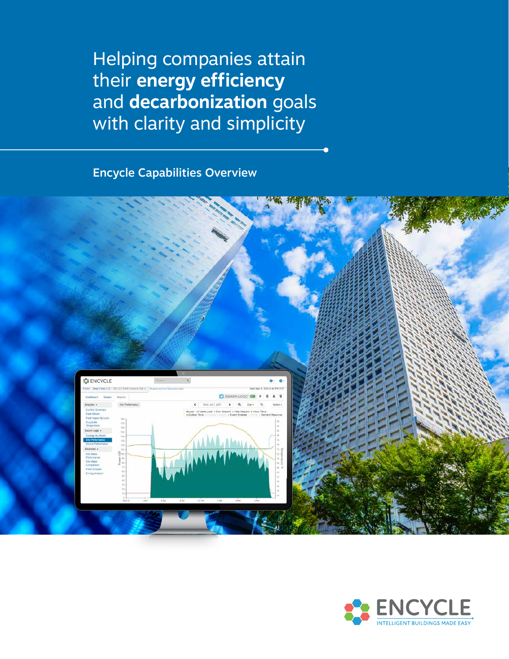Helping companies attain their **energy efficiency** and **decarbonization** goals with clarity and simplicity

Encycle Capabilities Overview



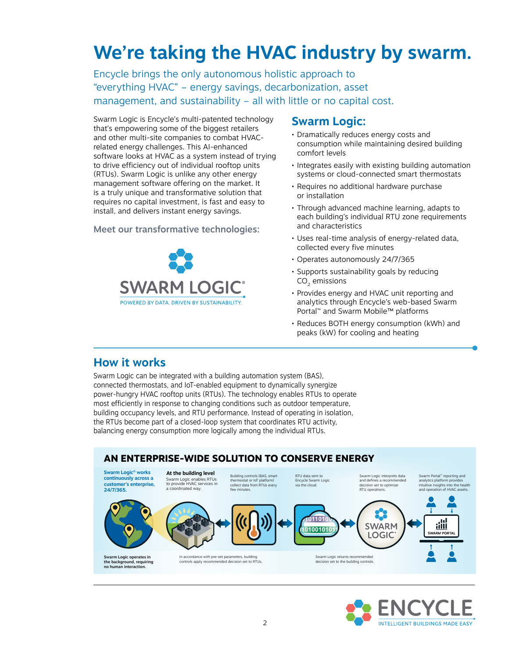# **We're taking the HVAC industry by swarm.**

Encycle brings the only autonomous holistic approach to "everything HVAC" – energy savings, decarbonization, asset management, and sustainability – all with little or no capital cost.

Swarm Logic is Encycle's multi-patented technology that's empowering some of the biggest retailers and other multi-site companies to combat HVACrelated energy challenges. This AI-enhanced software looks at HVAC as a system instead of trying to drive efficiency out of individual rooftop units (RTUs). Swarm Logic is unlike any other energy management software offering on the market. It is a truly unique and transformative solution that requires no capital investment, is fast and easy to install, and delivers instant energy savings.

Meet our transformative technologies:



## **Swarm Logic:**

- Dramatically reduces energy costs and consumption while maintaining desired building comfort levels
- Integrates easily with existing building automation systems or cloud-connected smart thermostats
- Requires no additional hardware purchase or installation
- Through advanced machine learning, adapts to each building's individual RTU zone requirements and characteristics
- Uses real-time analysis of energy-related data, collected every five minutes
- Operates autonomously 24/7/365
- Supports sustainability goals by reducing CO<sub>2</sub> emissions
- Provides energy and HVAC unit reporting and analytics through Encycle's web-based Swarm Portal™ and Swarm Mobile™ platforms
- Reduces BOTH energy consumption (kWh) and peaks (kW) for cooling and heating

## **How it works**

Swarm Logic can be integrated with a building automation system (BAS), connected thermostats, and IoT-enabled equipment to dynamically synergize power-hungry HVAC rooftop units (RTUs). The technology enables RTUs to operate most efficiently in response to changing conditions such as outdoor temperature, building occupancy levels, and RTU performance. Instead of operating in isolation, the RTUs become part of a closed-loop system that coordinates RTU activity, balancing energy consumption more logically among the individual RTUs.



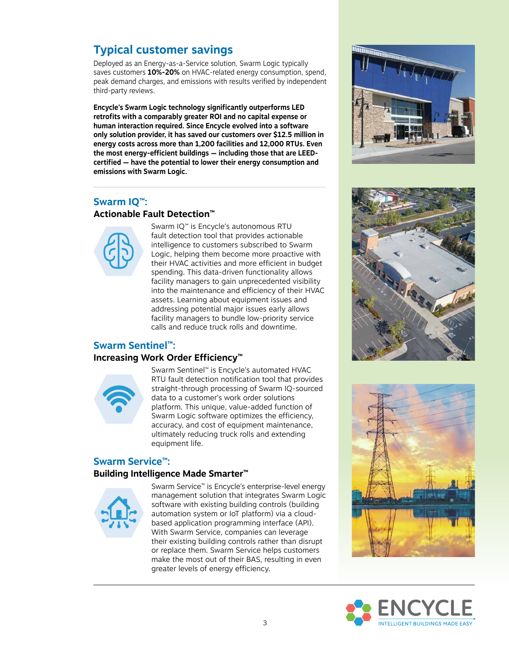# **Typical customer savings**

Deployed as an Energy-as-a-Service solution, Swarm Logic typically saves customers **10%-20%** on HVAC-related energy consumption, spend, peak demand charges, and emissions with results verified by independent third-party reviews.

**Encycle's Swarm Logic technology significantly outperforms LED retrofits with a comparably greater ROI and no capital expense or human interaction required. Since Encycle evolved into a software only solution provider, it has saved our customers over \$12.5 million in energy costs across more than 1,200 facilities and 12,000 RTUs. Even the most energy-efficient buildings — including those that are LEEDcertified — have the potential to lower their energy consumption and emissions with Swarm Logic.** 

### **Swarm IQ™:**

#### **Actionable Fault Detection™**



Swarm IQ*™* is Encycle's autonomous RTU fault detection tool that provides actionable intelligence to customers subscribed to Swarm Logic, helping them become more proactive with their HVAC activities and more efficient in budget spending. This data-driven functionality allows facility managers to gain unprecedented visibility into the maintenance and efficiency of their HVAC assets. Learning about equipment issues and addressing potential major issues early allows facility managers to bundle low-priority service calls and reduce truck rolls and downtime.

#### **Swarm Sentinel™: Increasing Work Order Efficiency™**



Swarm Sentinel™ is Encycle's automated HVAC RTU fault detection notification tool that provides straight-through processing of Swarm IQ-sourced data to a customer's work order solutions platform. This unique, value-added function of Swarm Logic software optimizes the efficiency, accuracy, and cost of equipment maintenance, ultimately reducing truck rolls and extending equipment life.

#### **Swarm Service™:**

#### **Building Intelligence Made Smarter™**



Swarm Service*™* is Encycle's enterprise-level energy management solution that integrates Swarm Logic software with existing building controls (building automation system or IoT platform) via a cloudbased application programming interface (API). With Swarm Service, companies can leverage their existing building controls rather than disrupt or replace them. Swarm Service helps customers make the most out of their BAS, resulting in even greater levels of energy efficiency.







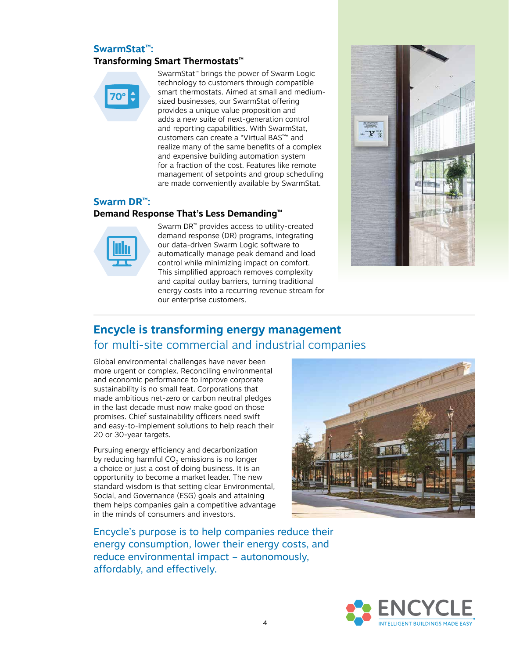#### **SwarmStat™:**

#### **Transforming Smart Thermostats™**



SwarmStat*™* brings the power of Swarm Logic technology to customers through compatible smart thermostats. Aimed at small and mediumsized businesses, our SwarmStat offering provides a unique value proposition and adds a new suite of next-generation control and reporting capabilities. With SwarmStat, customers can create a "Virtual BAS*™*" and realize many of the same benefits of a complex and expensive building automation system for a fraction of the cost. Features like remote management of setpoints and group scheduling are made conveniently available by SwarmStat.

#### **Swarm DR™:**

#### **Demand Response That's Less Demanding™**



Swarm DR*™* provides access to utility-created demand response (DR) programs, integrating our data-driven Swarm Logic software to automatically manage peak demand and load control while minimizing impact on comfort. This simplified approach removes complexity and capital outlay barriers, turning traditional energy costs into a recurring revenue stream for our enterprise customers.



# **Encycle is transforming energy management** for multi-site commercial and industrial companies

Global environmental challenges have never been more urgent or complex. Reconciling environmental and economic performance to improve corporate sustainability is no small feat. Corporations that made ambitious net-zero or carbon neutral pledges in the last decade must now make good on those promises. Chief sustainability officers need swift and easy-to-implement solutions to help reach their 20 or 30-year targets.

Pursuing energy efficiency and decarbonization by reducing harmful CO<sub>2</sub> emissions is no longer a choice or just a cost of doing business. It is an opportunity to become a market leader. The new standard wisdom is that setting clear Environmental, Social, and Governance (ESG) goals and attaining them helps companies gain a competitive advantage in the minds of consumers and investors.



Encycle's purpose is to help companies reduce their energy consumption, lower their energy costs, and reduce environmental impact – autonomously, affordably, and effectively.